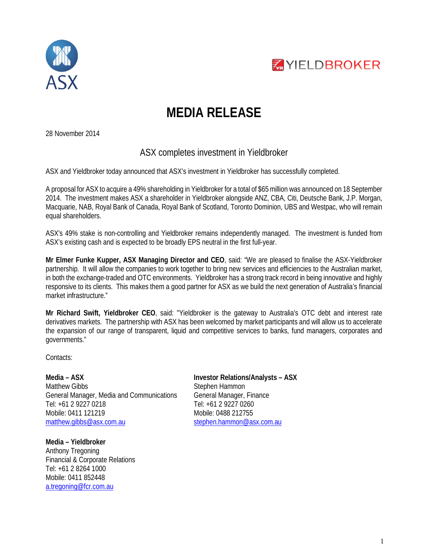



## **MEDIA RELEASE**

28 November 2014

## ASX completes investment in Yieldbroker

ASX and Yieldbroker today announced that ASX's investment in Yieldbroker has successfully completed.

A proposal for ASX to acquire a 49% shareholding in Yieldbroker for a total of \$65 million was announced on 18 September 2014. The investment makes ASX a shareholder in Yieldbroker alongside ANZ, CBA, Citi, Deutsche Bank, J.P. Morgan, Macquarie, NAB, Royal Bank of Canada, Royal Bank of Scotland, Toronto Dominion, UBS and Westpac, who will remain equal shareholders.

ASX's 49% stake is non-controlling and Yieldbroker remains independently managed. The investment is funded from ASX's existing cash and is expected to be broadly EPS neutral in the first full-year.

**Mr Elmer Funke Kupper, ASX Managing Director and CEO**, said: "We are pleased to finalise the ASX-Yieldbroker partnership. It will allow the companies to work together to bring new services and efficiencies to the Australian market, in both the exchange-traded and OTC environments. Yieldbroker has a strong track record in being innovative and highly responsive to its clients. This makes them a good partner for ASX as we build the next generation of Australia's financial market infrastructure."

**Mr Richard Swift, Yieldbroker CEO**, said: "Yieldbroker is the gateway to Australia's OTC debt and interest rate derivatives markets. The partnership with ASX has been welcomed by market participants and will allow us to accelerate the expansion of our range of transparent, liquid and competitive services to banks, fund managers, corporates and governments."

Contacts:

**Media – ASX** Matthew Gibbs General Manager, Media and Communications Tel: +61 2 9227 0218 Mobile: 0411 121219 [matthew.gibbs@asx.com.au](mailto:matthew.gibbs@asx.com.au)

**Media – Yieldbroker**  Anthony Tregoning Financial & Corporate Relations Tel: +61 2 8264 1000 Mobile: 0411 852448 a.tregoning@fcr.com.au

**Investor Relations/Analysts – ASX** Stephen Hammon General Manager, Finance Tel: +61 2 9227 0260 Mobile: 0488 212755 [stephen.hammon@asx.com.au](mailto:stephen.hammon@asx.com.au)